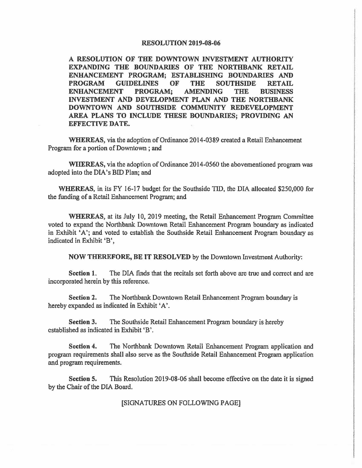## **RESOLUTION 2019-08-06**

**A RESOLUTION OF THE DOWNTOWN INVESTMENT AUTHORITY EXPANDING THE BOUNDARIES OF THE NORTHBANK RETAIL ENHANCEMENT PROGRAM; ESTABLISHING BOUNDARIES AND PROGRAM GUIDELINES OF THE SOUTHSIDE RETAIL ENHANCEMENT PROGRAM; AMENDING THE BUSINESS INVESTMENT AND DEVELOPMENT PLAN AND THE NORTHBANK DOWNTOWN AND SOUTHSIDE COMMUNITY REDEVELOPMENT AREA PLANS TO INCLUDE THESE BOUNDARIES; PROVIDING AN EFFECTIVE DATE.** 

**WHEREAS,** via the adoption of Ordinance 2014-0389 created a Retail Enhancement Program for a portion of Downtown ; and

**WHEREAS,** via the adoption of Ordinance 2014-0560 the abovementioned program was adopted into the DIA's BID Plan; and

**WHEREAS,** in its FY 16-17 budget for the Southside TID, the DIA allocated \$250,000 for the funding of a Retail Enhancement Program; and

**WHEREAS,** at its July 10, 2019 meeting, the Retail Enhancement Program Committee voted to expand the Northbank Downtown Retail Enhancement Program boundary as indicated in Exhibit 'A'; and voted to establish the Southside Retail Enhancement Program boundary as indicated in Exhibit 'B',

**NOW THEREFORE, BE IT RESOLVED** by the Downtown Investment Authority:

**Section** 1. The DIA finds that the recitals set forth above are true and correct and are incorporated herein by this reference.

**Section** 2. The Northbank Downtown Retail Enhancement Program boundary is hereby expanded as indicated in Exhibit 'A'.

**Section 3.** The Southside Retail Enhancement Program boundary is hereby established as indicated in Exhibit 'B'.

**Section** 4. The Northbank Downtown Retail Enhancement Program application and program requirements shall also serve as the Southside Retail Enhancement Program application and program requirements.

**Section 5.** This Resolution 2019-08-06 shall become effective on the date it is signed by the Chair of the DIA Board.

[SIGNATURES ON FOLLOWING PAGE]